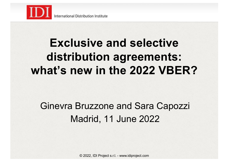

## **Exclusive and selective distribution agreements: what's new in the 2022 VBER?**

#### Ginevra Bruzzone and Sara Capozzi Madrid, 11 June 2022

© 2022, IDI Project s.r.l. - www.idiproject.com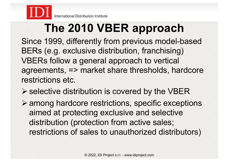

# **The 2010 VBER approach**

Since 1999, differently from previous model-based BERs (e.g. exclusive distribution, franchising) VBERs follow a general approach to vertical agreements, => market share thresholds, hardcore restrictions etc.

- $\triangleright$  selective distribution is covered by the VBER
- $\triangleright$  among hardcore restrictions, specific exceptions aimed at protecting exclusive and selective distribution (protection from active sales; restrictions of sales to unauthorized distributors)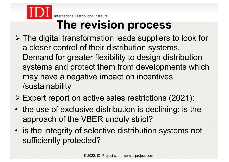

International Distribution Institute

### **The revision process**

- $\triangleright$  The digital transformation leads suppliers to look for a closer control of their distribution systems. Demand for greater flexibility to design distribution systems and protect them from developments which may have a negative impact on incentives /sustainability
- ! Expert report on active sales restrictions (2021):
- the use of exclusive distribution is declining: is the approach of the VBER unduly strict?
- is the integrity of selective distribution systems not sufficiently protected?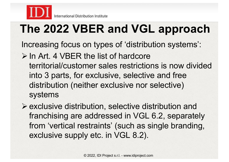

# **The 2022 VBER and VGL approach**

Increasing focus on types of 'distribution systems':

 $\triangleright$  In Art. 4 VBER the list of hardcore territorial/customer sales restrictions is now divided into 3 parts, for exclusive, selective and free distribution (neither exclusive nor selective) systems

 $\triangleright$  exclusive distribution, selective distribution and franchising are addressed in VGL 6.2, separately from 'vertical restraints' (such as single branding, exclusive supply etc. in VGL 8.2).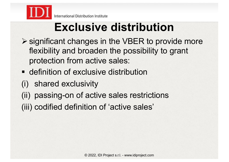

# **Exclusive distribution**

- $\triangleright$  significant changes in the VBER to provide more flexibility and broaden the possibility to grant protection from active sales:
- **Example 1** definition of exclusive distribution
- (i) shared exclusivity
- (ii) passing-on of active sales restrictions
- (iii) codified definition of 'active sales'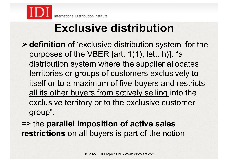

# **Exclusive distribution**

- ! **definition** of 'exclusive distribution system' for the purposes of the VBER [art. 1(1), lett. h)]: "a distribution system where the supplier allocates territories or groups of customers exclusively to itself or to a maximum of five buyers and restricts all its other buyers from actively selling into the exclusive territory or to the exclusive customer group".
- => the **parallel imposition of active sales restrictions** on all buyers is part of the notion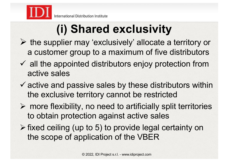

# **(i) Shared exclusivity**

- $\triangleright$  the supplier may 'exclusively' allocate a territory or a customer group to a maximum of five distributors
- $\checkmark$  all the appointed distributors enjoy protection from active sales
- $\checkmark$  active and passive sales by these distributors within the exclusive territory cannot be restricted
- $\triangleright$  more flexibility, no need to artificially split territories to obtain protection against active sales
- $\triangleright$  fixed ceiling (up to 5) to provide legal certainty on the scope of application of the VBER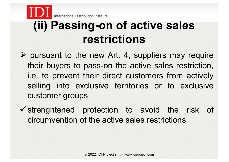

### **(ii) Passing-on of active sales restrictions**

- $\triangleright$  pursuant to the new Art. 4, suppliers may require their buyers to pass-on the active sales restriction, i.e. to prevent their direct customers from actively selling into exclusive territories or to exclusive customer groups
- $\checkmark$  strenghtened protection to avoid the risk of circumvention of the active sales restrictions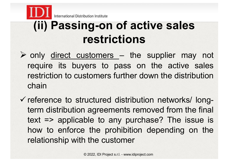

# **(ii) Passing-on of active sales restrictions**

- $\triangleright$  only direct customers the supplier may not require its buyers to pass on the active sales restriction to customers further down the distribution chain
- $\checkmark$  reference to structured distribution networks/ longterm distribution agreements removed from the final text => applicable to any purchase? The issue is how to enforce the prohibition depending on the relationship with the customer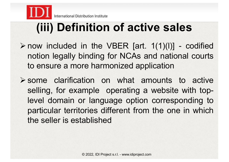

## **(iii) Definition of active sales**

- $\triangleright$  now included in the VBER [art. 1(1)(l)] codified notion legally binding for NCAs and national courts to ensure a more harmonized application
- $\triangleright$  some clarification on what amounts to active selling, for example operating a website with toplevel domain or language option corresponding to particular territories different from the one in which the seller is established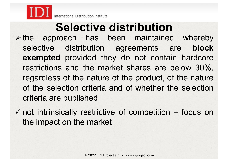

# **Selective distribution**

- $\triangleright$  the approach has been maintained whereby selective distribution agreements are **block exempted** provided they do not contain hardcore restrictions and the market shares are below 30%, regardless of the nature of the product, of the nature of the selection criteria and of whether the selection criteria are published
- $\checkmark$  not intrinsically restrictive of competition focus on the impact on the market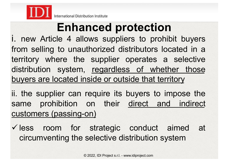

# **Enhanced protection**

i. new Article 4 allows suppliers to prohibit buyers from selling to unauthorized distributors located in a territory where the supplier operates a selective distribution system, regardless of whether those buyers are located inside or outside that territory

ii. the supplier can require its buyers to impose the same prohibition on their direct and indirect customers (passing-on)

 $\checkmark$  less room for strategic conduct aimed at circumventing the selective distribution system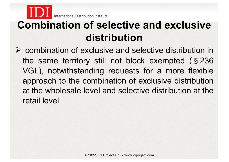

#### **Combination of selective and exclusive distribution**

 $\triangleright$  combination of exclusive and selective distribution in the same territory still not block exempted (§236 VGL), notwithstanding requests for a more flexible approach to the combination of exclusive distribution at the wholesale level and selective distribution at the retail level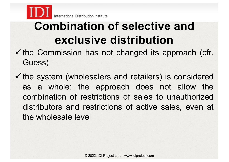

### **Combination of selective and exclusive distribution**

- $\checkmark$  the Commission has not changed its approach (cfr. Guess)
- $\checkmark$  the system (wholesalers and retailers) is considered as a whole: the approach does not allow the combination of restrictions of sales to unauthorized distributors and restrictions of active sales, even at the wholesale level